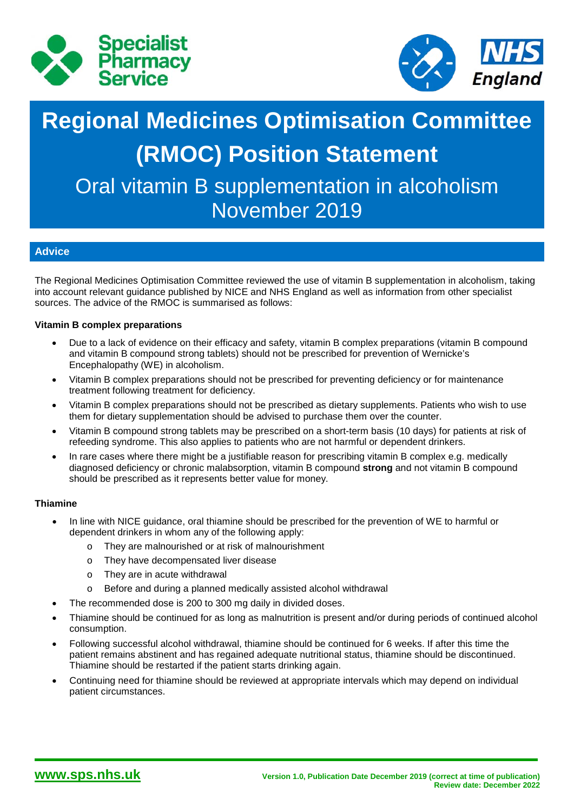



# **Regional Medicines Optimisation Committee (RMOC) Position Statement**

Oral vitamin B supplementation in alcoholism November 2019

# **Advice**

The Regional Medicines Optimisation Committee reviewed the use of vitamin B supplementation in alcoholism, taking into account relevant guidance published by NICE and NHS England as well as information from other specialist sources. The advice of the RMOC is summarised as follows:

## **Vitamin B complex preparations**

- Due to a lack of evidence on their efficacy and safety, vitamin B complex preparations (vitamin B compound and vitamin B compound strong tablets) should not be prescribed for prevention of Wernicke's Encephalopathy (WE) in alcoholism.
- Vitamin B complex preparations should not be prescribed for preventing deficiency or for maintenance treatment following treatment for deficiency.
- Vitamin B complex preparations should not be prescribed as dietary supplements. Patients who wish to use them for dietary supplementation should be advised to purchase them over the counter.
- Vitamin B compound strong tablets may be prescribed on a short-term basis (10 days) for patients at risk of refeeding syndrome. This also applies to patients who are not harmful or dependent drinkers.
- In rare cases where there might be a justifiable reason for prescribing vitamin B complex e.g. medically diagnosed deficiency or chronic malabsorption, vitamin B compound **strong** and not vitamin B compound should be prescribed as it represents better value for money.

### **Thiamine**

- In line with NICE guidance, oral thiamine should be prescribed for the prevention of WE to harmful or dependent drinkers in whom any of the following apply:
	- o They are malnourished or at risk of malnourishment
	- o They have decompensated liver disease
	- o They are in acute withdrawal
	- o Before and during a planned medically assisted alcohol withdrawal
- The recommended dose is 200 to 300 mg daily in divided doses.
- Thiamine should be continued for as long as malnutrition is present and/or during periods of continued alcohol consumption.
- Following successful alcohol withdrawal, thiamine should be continued for 6 weeks. If after this time the patient remains abstinent and has regained adequate nutritional status, thiamine should be discontinued. Thiamine should be restarted if the patient starts drinking again.
- Continuing need for thiamine should be reviewed at appropriate intervals which may depend on individual patient circumstances.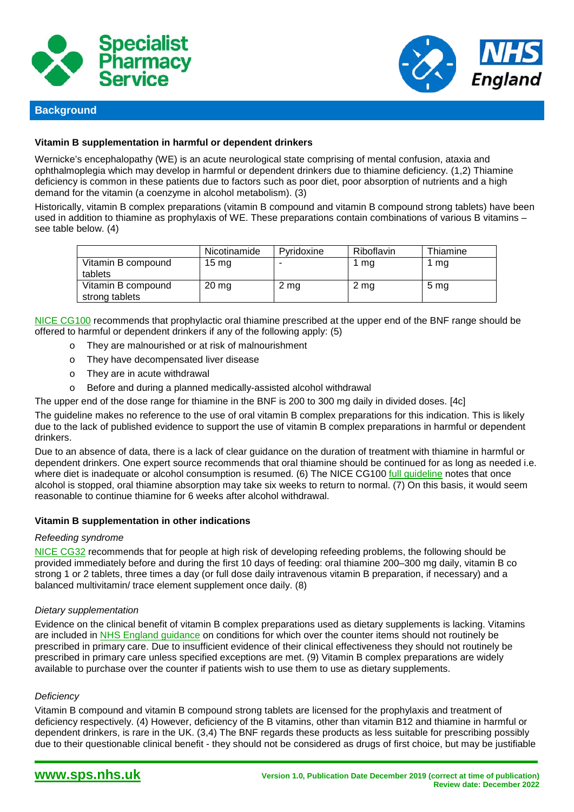



### **Background**

#### **Vitamin B supplementation in harmful or dependent drinkers**

Wernicke's encephalopathy (WE) is an acute neurological state comprising of mental confusion, ataxia and ophthalmoplegia which may develop in harmful or dependent drinkers due to thiamine deficiency. (1,2) Thiamine deficiency is common in these patients due to factors such as poor diet, poor absorption of nutrients and a high demand for the vitamin (a coenzyme in alcohol metabolism). (3)

Historically, vitamin B complex preparations (vitamin B compound and vitamin B compound strong tablets) have been used in addition to thiamine as prophylaxis of WE. These preparations contain combinations of various B vitamins – see table below. (4)

|                                      | Nicotinamide    | Pvridoxine | Riboflavin | Thiamine        |
|--------------------------------------|-----------------|------------|------------|-----------------|
| Vitamin B compound<br>tablets        | $15 \text{ mg}$ |            | mg         | l mg            |
| Vitamin B compound<br>strong tablets | $20 \, mg$      | 2 mg       | 2 mg       | 5 <sub>mg</sub> |

[NICE CG100](https://www.nice.org.uk/guidance/cg100) recommends that prophylactic oral thiamine prescribed at the upper end of the BNF range should be offered to harmful or dependent drinkers if any of the following apply: (5)

- o They are malnourished or at risk of malnourishment
- o They have decompensated liver disease
- o They are in acute withdrawal
- o Before and during a planned medically-assisted alcohol withdrawal

The upper end of the dose range for thiamine in the BNF is 200 to 300 mg daily in divided doses. [4c]

The guideline makes no reference to the use of oral vitamin B complex preparations for this indication. This is likely due to the lack of published evidence to support the use of vitamin B complex preparations in harmful or dependent drinkers.

Due to an absence of data, there is a lack of clear guidance on the duration of treatment with thiamine in harmful or dependent drinkers. One expert source recommends that oral thiamine should be continued for as long as needed i.e. where diet is inadequate or alcohol consumption is resumed. (6) The NICE CG100 full quideline notes that once alcohol is stopped, oral thiamine absorption may take six weeks to return to normal.  $(7)$  On this basis, it would seem reasonable to continue thiamine for 6 weeks after alcohol withdrawal.

#### **Vitamin B supplementation in other indications**

#### *Refeeding syndrome*

[NICE CG32](https://www.nice.org.uk/guidance/cg32) recommends that for people at high risk of developing refeeding problems, the following should be provided immediately before and during the first 10 days of feeding: oral thiamine 200–300 mg daily, vitamin B co strong 1 or 2 tablets, three times a day (or full dose daily intravenous vitamin B preparation, if necessary) and a balanced multivitamin/ trace element supplement once daily. (8)

#### *Dietary supplementation*

Evidence on the clinical benefit of vitamin B complex preparations used as dietary supplements is lacking. Vitamins are included in [NHS England guidance](https://www.england.nhs.uk/publication/conditions-for-which-over-the-counter-items-should-not-routinely-be-prescribed-in-primary-care-guidance-for-ccgs/) on conditions for which over the counter items should not routinely be prescribed in primary care. Due to insufficient evidence of their clinical effectiveness they should not routinely be prescribed in primary care unless specified exceptions are met. (9) Vitamin B complex preparations are widely available to purchase over the counter if patients wish to use them to use as dietary supplements.

#### *Deficiency*

Vitamin B compound and vitamin B compound strong tablets are licensed for the prophylaxis and treatment of deficiency respectively. (4) However, deficiency of the B vitamins, other than vitamin B12 and thiamine in harmful or dependent drinkers, is rare in the UK. (3,4) The BNF regards these products as less suitable for prescribing possibly due to their questionable clinical benefit - they should not be considered as drugs of first choice, but may be justifiable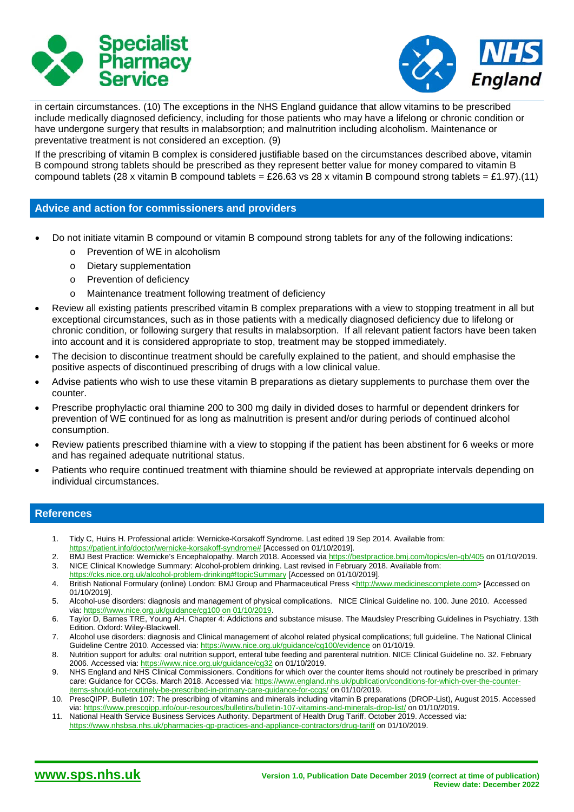



in certain circumstances. (10) The exceptions in the NHS England guidance that allow vitamins to be prescribed include medically diagnosed deficiency, including for those patients who may have a lifelong or chronic condition or have undergone surgery that results in malabsorption; and malnutrition including alcoholism. Maintenance or preventative treatment is not considered an exception. (9)

If the prescribing of vitamin B complex is considered justifiable based on the circumstances described above, vitamin B compound strong tablets should be prescribed as they represent better value for money compared to vitamin B compound tablets (28 x vitamin B compound tablets = £26.63 vs 28 x vitamin B compound strong tablets = £1.97).(11)

#### **Advice and action for commissioners and providers**

- Do not initiate vitamin B compound or vitamin B compound strong tablets for any of the following indications:
	- o Prevention of WE in alcoholism
	- o Dietary supplementation
	- o Prevention of deficiency
	- o Maintenance treatment following treatment of deficiency
- Review all existing patients prescribed vitamin B complex preparations with a view to stopping treatment in all but exceptional circumstances, such as in those patients with a medically diagnosed deficiency due to lifelong or chronic condition, or following surgery that results in malabsorption. If all relevant patient factors have been taken into account and it is considered appropriate to stop, treatment may be stopped immediately.
- The decision to discontinue treatment should be carefully explained to the patient, and should emphasise the positive aspects of discontinued prescribing of drugs with a low clinical value.
- Advise patients who wish to use these vitamin B preparations as dietary supplements to purchase them over the counter.
- Prescribe prophylactic oral thiamine 200 to 300 mg daily in divided doses to harmful or dependent drinkers for prevention of WE continued for as long as malnutrition is present and/or during periods of continued alcohol consumption.
- Review patients prescribed thiamine with a view to stopping if the patient has been abstinent for 6 weeks or more and has regained adequate nutritional status.
- Patients who require continued treatment with thiamine should be reviewed at appropriate intervals depending on individual circumstances.

### **References**

- 1. Tidy C, Huins H. Professional article: Wernicke-Korsakoff Syndrome. Last edited 19 Sep 2014. Available from:
- [https://patient.info/doctor/wernicke-korsakoff-syndrome#](https://patient.info/doctor/wernicke-korsakoff-syndrome) [Accessed on 01/10/2019].
- 2. BMJ Best Practice: Wernicke's Encephalopathy. March 2018. Accessed vi[a https://bestpractice.bmj.com/topics/en-gb/405](https://bestpractice.bmj.com/topics/en-gb/405) on 01/10/2019.<br>3. NICE Clinical Knowledge Summary: Alcohol-problem drinking. Last revised in February 3. NICE Clinical Knowledge Summary: Alcohol-problem drinking. Last revised in February 2018. Available from:
- <https://cks.nice.org.uk/alcohol-problem-drinking#!topicSummary> [Accessed on 01/10/2019].
- 4. British National Formulary (online) London: BMJ Group and Pharmaceutical Press [<http://www.medicinescomplete.com>](http://www.medicinescomplete.com/) [Accessed on 01/10/2019].
- 5. Alcohol-use disorders: diagnosis and management of physical complications. NICE Clinical Guideline no. 100. June 2010. Accessed via: [https://www.nice.org.uk/guidance/cg100 on 01/10/2019.](https://www.nice.org.uk/guidance/cg100%20on%2001/10/2019)
- 6. Taylor D, Barnes TRE, Young AH. Chapter 4: Addictions and substance misuse. The Maudsley Prescribing Guidelines in Psychiatry. 13th Edition. Oxford: Wiley-Blackwell.
- 7. Alcohol use disorders: diagnosis and Clinical management of alcohol related physical complications; full guideline. The National Clinical Guideline Centre 2010. Accessed via: <https://www.nice.org.uk/guidance/cg100/evidence> on 01/10/19.
- 8. Nutrition support for adults: oral nutrition support, enteral tube feeding and parenteral nutrition. NICE Clinical Guideline no. 32. February 2006. Accessed via:<https://www.nice.org.uk/guidance/cg32> on 01/10/2019.
- 9. NHS England and NHS Clinical Commissioners. Conditions for which over the counter items should not routinely be prescribed in primary care: Guidance for CCGs. March 2018. Accessed via[: https://www.england.nhs.uk/publication/conditions-for-which-over-the-counter](https://www.england.nhs.uk/publication/conditions-for-which-over-the-counter-items-should-not-routinely-be-prescribed-in-primary-care-guidance-for-ccgs/)[items-should-not-routinely-be-prescribed-in-primary-care-guidance-for-ccgs/](https://www.england.nhs.uk/publication/conditions-for-which-over-the-counter-items-should-not-routinely-be-prescribed-in-primary-care-guidance-for-ccgs/) on 01/10/2019.
- 10. PrescQIPP. Bulletin 107: The prescribing of vitamins and minerals including vitamin B preparations (DROP-List), August 2015. Accessed via:<https://www.prescqipp.info/our-resources/bulletins/bulletin-107-vitamins-and-minerals-drop-list/> on 01/10/2019.
- 11. National Health Service Business Services Authority. Department of Health Drug Tariff. October 2019. Accessed via: <https://www.nhsbsa.nhs.uk/pharmacies-gp-practices-and-appliance-contractors/drug-tariff> on 01/10/2019.